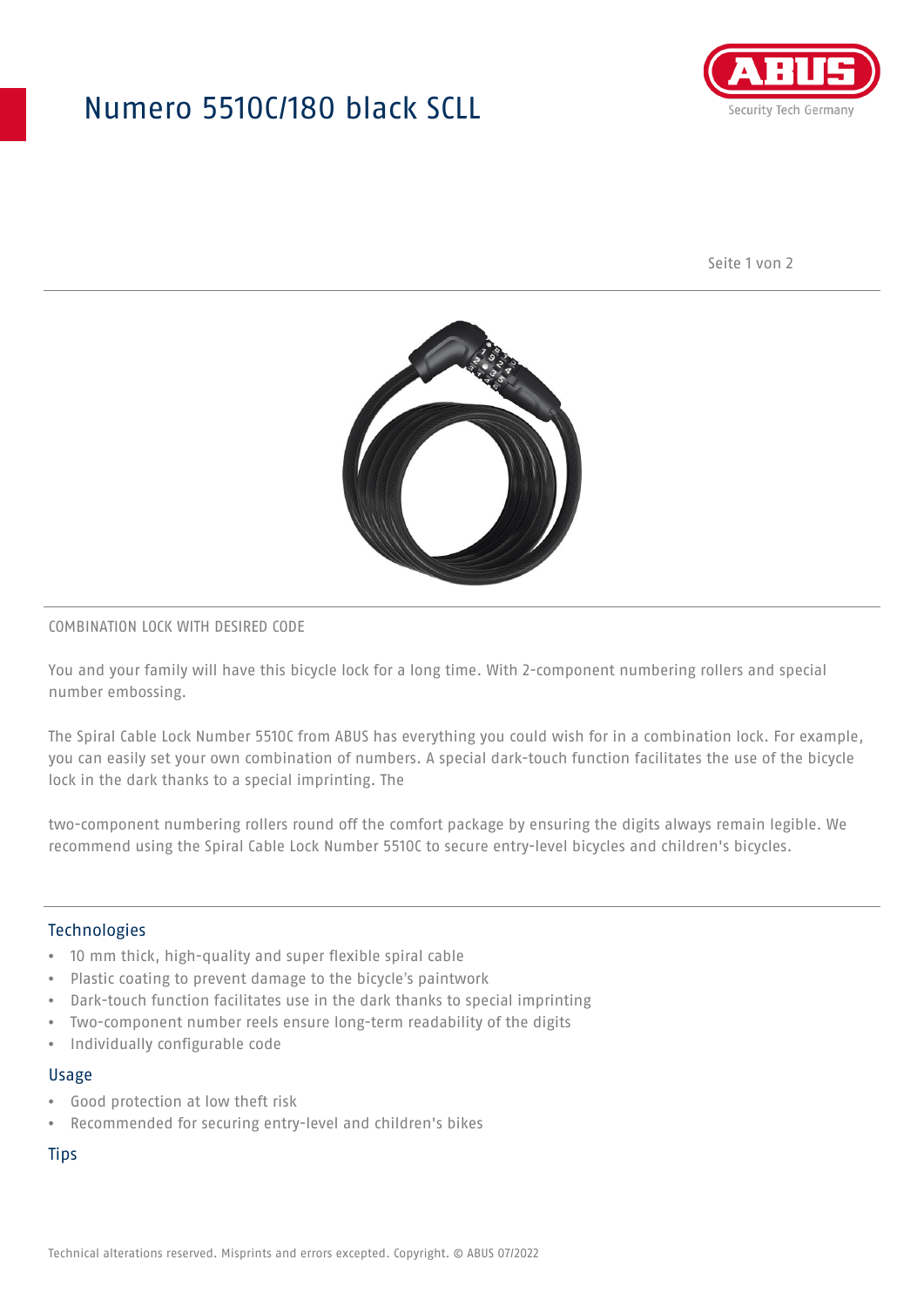## Numero 5510C/180 black SCLL



Seite 1 von 2



#### COMBINATION LOCK WITH DESIRED CODE

You and your family will have this bicycle lock for a long time. With 2-component numbering rollers and special number embossing.

The Spiral Cable Lock Number 5510C from ABUS has everything you could wish for in a combination lock. For example, you can easily set your own combination of numbers. A special dark-touch function facilitates the use of the bicycle lock in the dark thanks to a special imprinting. The

two-component numbering rollers round off the comfort package by ensuring the digits always remain legible. We recommend using the Spiral Cable Lock Number 5510C to secure entry-level bicycles and children's bicycles.

#### Technologies

- 10 mm thick, high-quality and super flexible spiral cable
- Plastic coating to prevent damage to the bicycle's paintwork
- Dark-touch function facilitates use in the dark thanks to special imprinting
- Two-component number reels ensure long-term readability of the digits
- Individually configurable code

#### Usage

- Good protection at low theft risk
- Recommended for securing entry-level and children's bikes

**Tips**